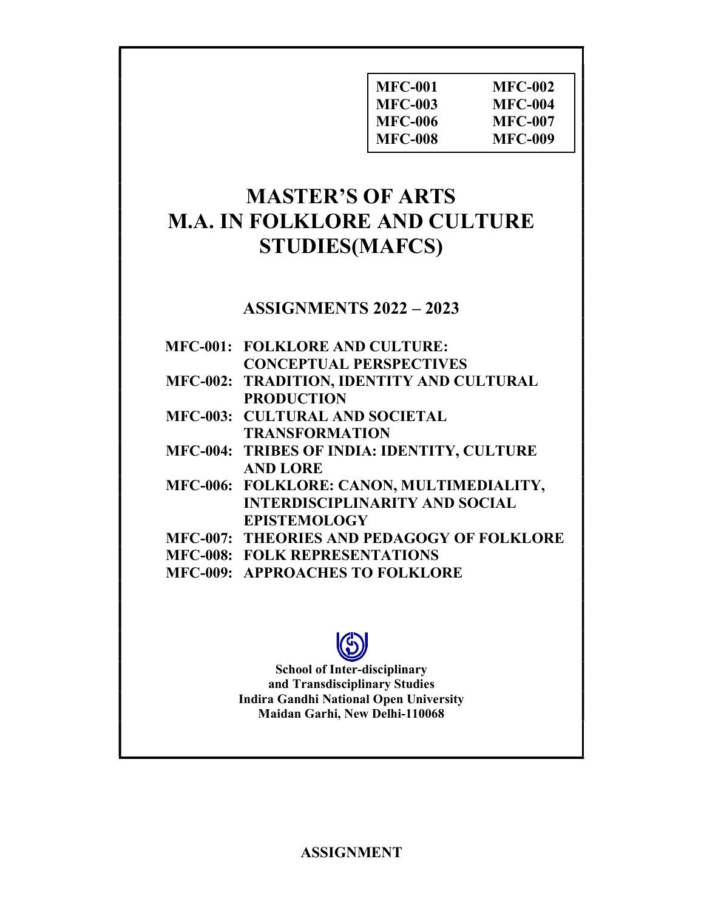| <b>MFC-002</b> |
|----------------|
| <b>MFC-004</b> |
| MFC-007        |
| <b>MFC-009</b> |
|                |

# MASTER'S OF ARTS M.A. IN FOLKLORE AND CULTURE STUDIES(MAFCS)

# ASSIGNMENTS 2022 – 2023

| <b>MFC-001: FOLKLORE AND CULTURE:</b>             |
|---------------------------------------------------|
| <b>CONCEPTUAL PERSPECTIVES</b>                    |
| MFC-002: TRADITION, IDENTITY AND CULTURAL         |
| <b>PRODUCTION</b>                                 |
| <b>MFC-003: CULTURAL AND SOCIETAL</b>             |
| <b>TRANSFORMATION</b>                             |
| MFC-004: TRIBES OF INDIA: IDENTITY, CULTURE       |
| <b>AND LORE</b>                                   |
| MFC-006: FOLKLORE: CANON, MULTIMEDIALITY,         |
| <b>INTERDISCIPLINARITY AND SOCIAL</b>             |
| <b>EPISTEMOLOGY</b>                               |
| <b>MFC-007: THEORIES AND PEDAGOGY OF FOLKLORE</b> |
| <b>MFC-008: FOLK REPRESENTATIONS</b>              |
| <b>MFC-009: APPROACHES TO FOLKLORE</b>            |
|                                                   |



# School of Inter-disciplinary and Transdisciplinary Studies Indira Gandhi National Open University Maidan Garhi, New Delhi-110068

ASSIGNMENT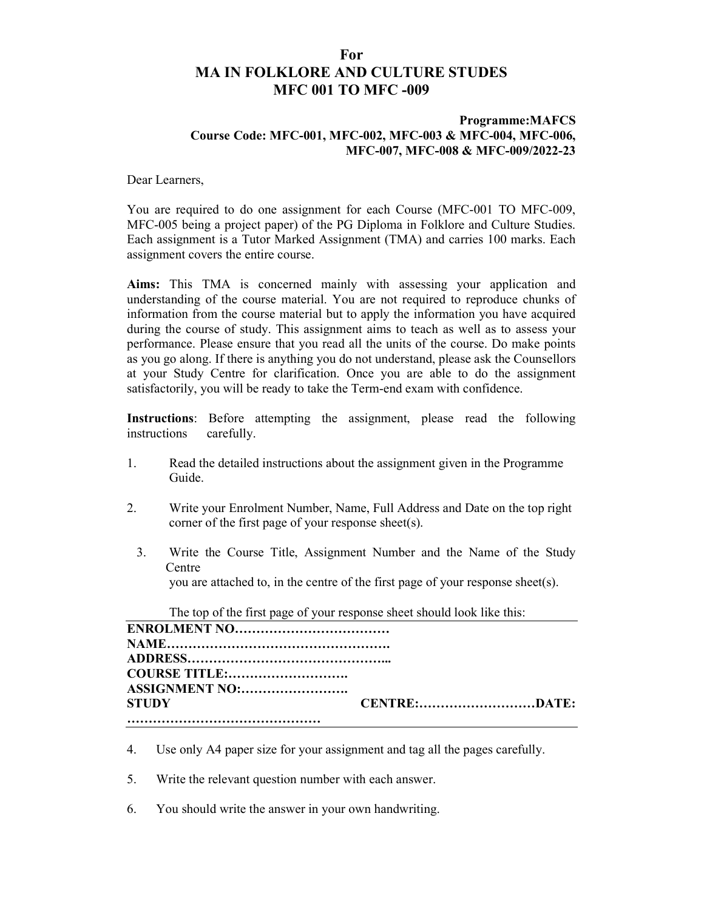# For MA IN FOLKLORE AND CULTURE STUDES MFC 001 TO MFC -009

### Programme:MAFCS Course Code: MFC-001, MFC-002, MFC-003 & MFC-004, MFC-006, MFC-007, MFC-008 & MFC-009/2022-23

Dear Learners,

You are required to do one assignment for each Course (MFC-001 TO MFC-009, MFC-005 being a project paper) of the PG Diploma in Folklore and Culture Studies. Each assignment is a Tutor Marked Assignment (TMA) and carries 100 marks. Each assignment covers the entire course.

Aims: This TMA is concerned mainly with assessing your application and understanding of the course material. You are not required to reproduce chunks of information from the course material but to apply the information you have acquired during the course of study. This assignment aims to teach as well as to assess your performance. Please ensure that you read all the units of the course. Do make points as you go along. If there is anything you do not understand, please ask the Counsellors at your Study Centre for clarification. Once you are able to do the assignment satisfactorily, you will be ready to take the Term-end exam with confidence.

Instructions: Before attempting the assignment, please read the following instructions carefully.

- 1. Read the detailed instructions about the assignment given in the Programme Guide.
- 2. Write your Enrolment Number, Name, Full Address and Date on the top right corner of the first page of your response sheet(s).
	- 3. Write the Course Title, Assignment Number and the Name of the Study **Centre** you are attached to, in the centre of the first page of your response sheet(s).

| The top of the first page of your response sheet should look like this: |                     |
|-------------------------------------------------------------------------|---------------------|
|                                                                         |                     |
|                                                                         |                     |
|                                                                         |                     |
| <b>COURSE TITLE:</b>                                                    |                     |
| ASSIGNMENT NO:                                                          |                     |
| <b>STUDY</b>                                                            | <b>CENTRE:DATE:</b> |
|                                                                         |                     |

- 4. Use only A4 paper size for your assignment and tag all the pages carefully.
- 5. Write the relevant question number with each answer.
- 6. You should write the answer in your own handwriting.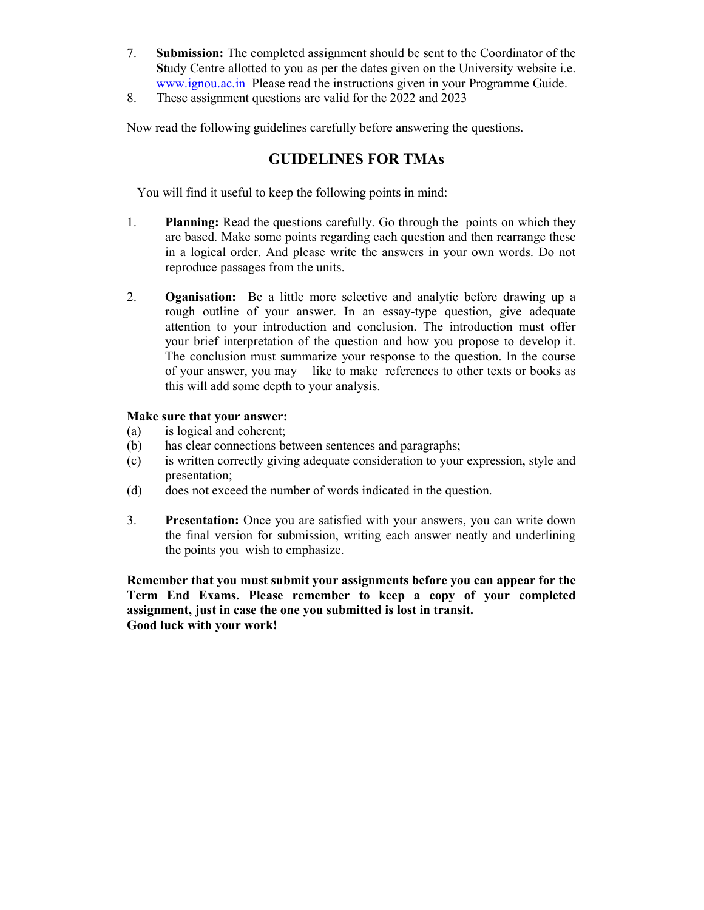- 7. Submission: The completed assignment should be sent to the Coordinator of the Study Centre allotted to you as per the dates given on the University website i.e. www.ignou.ac.in Please read the instructions given in your Programme Guide.
- 8. These assignment questions are valid for the 2022 and 2023

Now read the following guidelines carefully before answering the questions.

# GUIDELINES FOR TMAs

You will find it useful to keep the following points in mind:

- 1. Planning: Read the questions carefully. Go through the points on which they are based. Make some points regarding each question and then rearrange these in a logical order. And please write the answers in your own words. Do not reproduce passages from the units.
- 2. Oganisation: Be a little more selective and analytic before drawing up a rough outline of your answer. In an essay-type question, give adequate attention to your introduction and conclusion. The introduction must offer your brief interpretation of the question and how you propose to develop it. The conclusion must summarize your response to the question. In the course of your answer, you may like to make references to other texts or books as this will add some depth to your analysis.

### Make sure that your answer:

- (a) is logical and coherent;
- (b) has clear connections between sentences and paragraphs;
- (c) is written correctly giving adequate consideration to your expression, style and presentation;
- (d) does not exceed the number of words indicated in the question.
- 3. Presentation: Once you are satisfied with your answers, you can write down the final version for submission, writing each answer neatly and underlining the points you wish to emphasize.

Remember that you must submit your assignments before you can appear for the Term End Exams. Please remember to keep a copy of your completed assignment, just in case the one you submitted is lost in transit. Good luck with your work!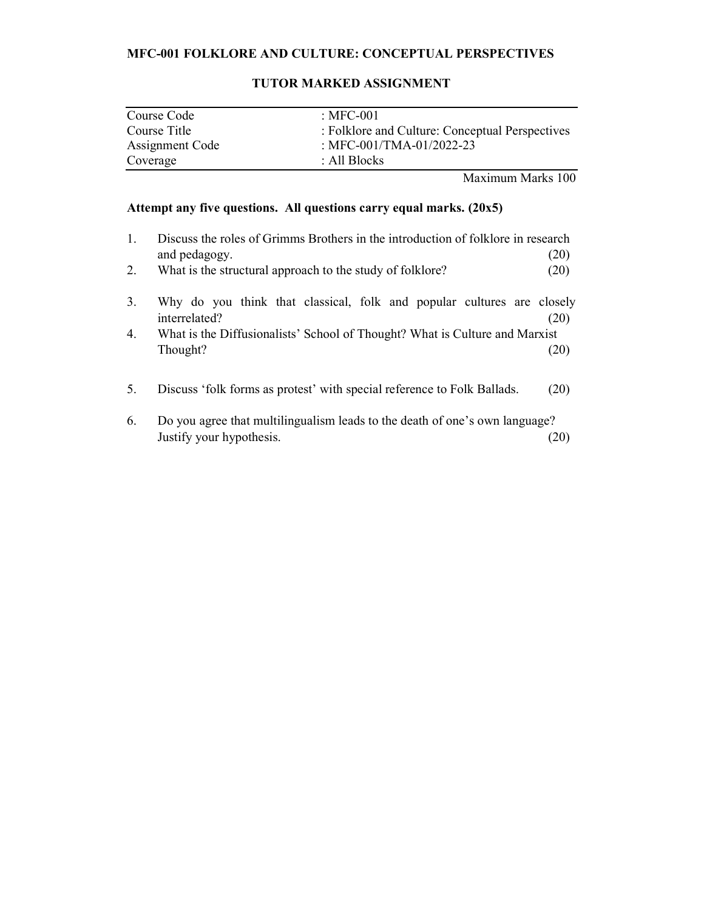# MFC-001 FOLKLORE AND CULTURE: CONCEPTUAL PERSPECTIVES

| Course Code            | : MFC-001                                       |
|------------------------|-------------------------------------------------|
| Course Title           | : Folklore and Culture: Conceptual Perspectives |
| <b>Assignment Code</b> | : MFC-001/TMA-01/2022-23                        |
| Coverage               | : All Blocks                                    |

# TUTOR MARKED ASSIGNMENT

Maximum Marks 100

# Attempt any five questions. All questions carry equal marks. (20x5)

| 1.<br>2. | Discuss the roles of Grimms Brothers in the introduction of folklore in research<br>and pedagogy.<br>What is the structural approach to the study of folklore? | (20)<br>(20) |
|----------|----------------------------------------------------------------------------------------------------------------------------------------------------------------|--------------|
| 3.       | Why do you think that classical, folk and popular cultures are closely<br>interrelated?                                                                        | (20)         |
| 4.       | What is the Diffusionalists' School of Thought? What is Culture and Marxist<br>Thought?                                                                        | (20)         |
| 5.       | Discuss 'folk forms as protest' with special reference to Folk Ballads.                                                                                        | (20)         |
| 6.       | Do you agree that multilingualism leads to the death of one's own language?<br>Justify your hypothesis.                                                        |              |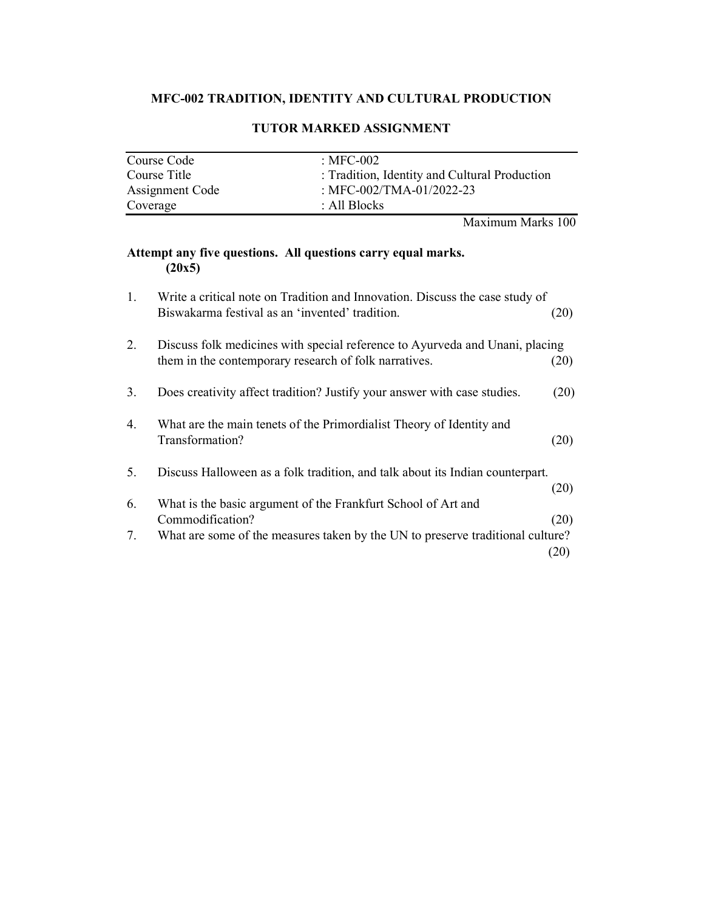# MFC-002 TRADITION, IDENTITY AND CULTURAL PRODUCTION

| Course Code     | : MFC-002                                     |
|-----------------|-----------------------------------------------|
| Course Title    | : Tradition, Identity and Cultural Production |
| Assignment Code | : MFC-002/TMA-01/2022-23                      |
| Coverage        | : All Blocks                                  |

## TUTOR MARKED ASSIGNMENT

Maximum Marks 100

# Attempt any five questions. All questions carry equal marks.  $(20x5)$

| 1. | Write a critical note on Tradition and Innovation. Discuss the case study of   |      |
|----|--------------------------------------------------------------------------------|------|
|    | Biswakarma festival as an 'invented' tradition.                                | (20) |
| 2. | Discuss folk medicines with special reference to Ayurveda and Unani, placing   |      |
|    | them in the contemporary research of folk narratives.                          | (20) |
| 3. | Does creativity affect tradition? Justify your answer with case studies.       | (20) |
| 4. | What are the main tenets of the Primordialist Theory of Identity and           |      |
|    | Transformation?                                                                | (20) |
| 5. | Discuss Halloween as a folk tradition, and talk about its Indian counterpart.  |      |
|    |                                                                                | (20) |
| 6. | What is the basic argument of the Frankfurt School of Art and                  |      |
|    | Commodification?                                                               | (20) |
| 7. | What are some of the measures taken by the UN to preserve traditional culture? |      |
|    |                                                                                | (20) |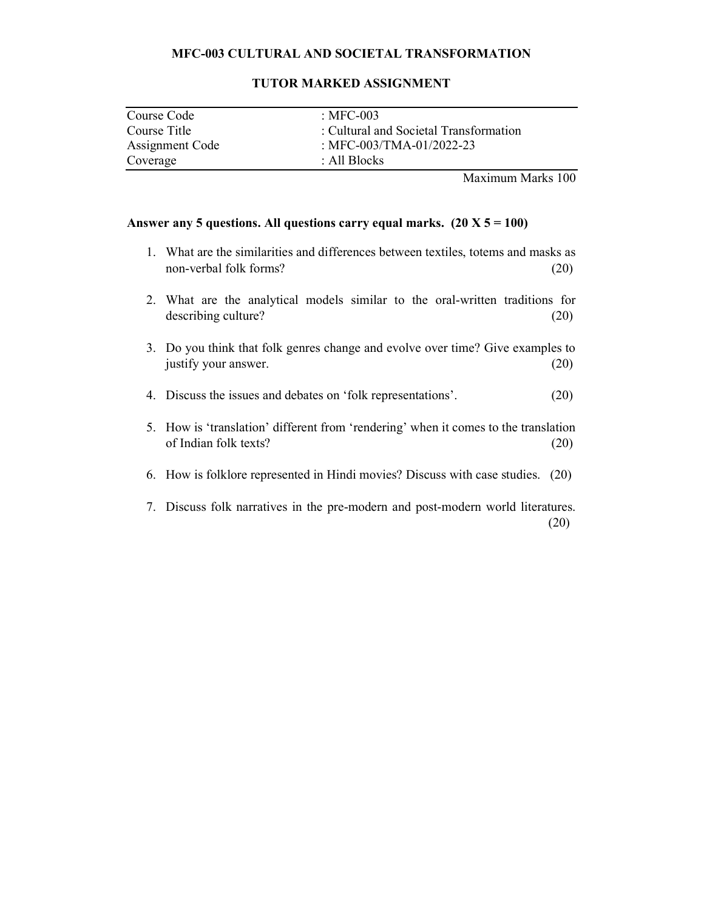## MFC-003 CULTURAL AND SOCIETAL TRANSFORMATION

| Course Code     | : MFC-003                              |
|-----------------|----------------------------------------|
| Course Title    | : Cultural and Societal Transformation |
| Assignment Code | : MFC-003/TMA-01/2022-23               |
| Coverage        | : All Blocks                           |

#### TUTOR MARKED ASSIGNMENT

Maximum Marks 100

- 1. What are the similarities and differences between textiles, totems and masks as non-verbal folk forms? (20)
- 2. What are the analytical models similar to the oral-written traditions for describing culture? (20)
- 3. Do you think that folk genres change and evolve over time? Give examples to justify your answer. (20)
- 4. Discuss the issues and debates on 'folk representations'. (20)
- 5. How is 'translation' different from 'rendering' when it comes to the translation of Indian folk texts? (20)
- 6. How is folklore represented in Hindi movies? Discuss with case studies. (20)
- 7. Discuss folk narratives in the pre-modern and post-modern world literatures. (20)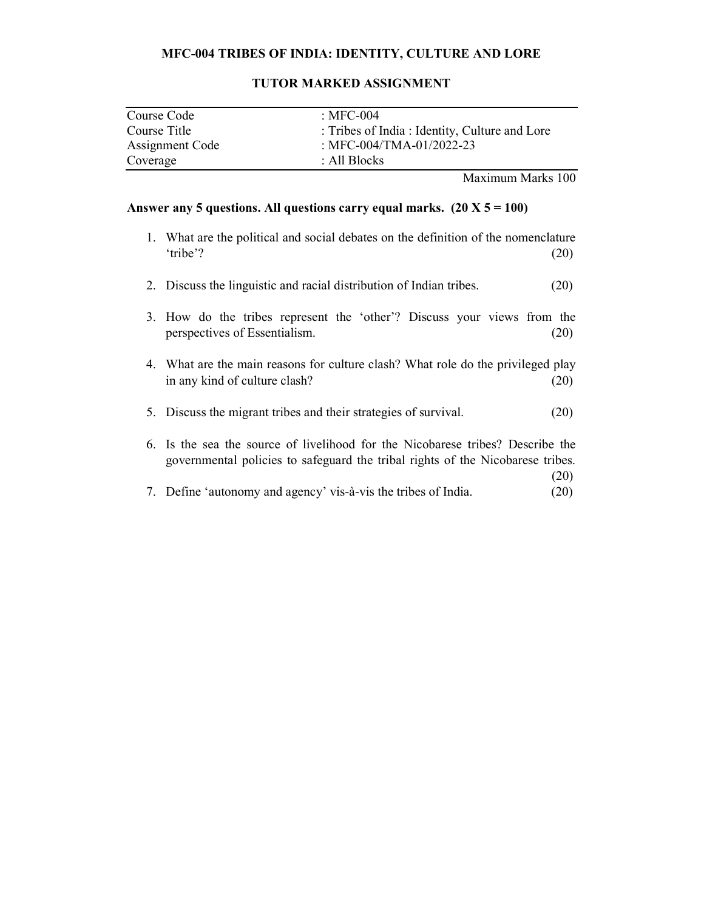#### MFC-004 TRIBES OF INDIA: IDENTITY, CULTURE AND LORE

| Course Code            | : MFC-004                                     |
|------------------------|-----------------------------------------------|
| Course Title           | : Tribes of India: Identity, Culture and Lore |
| <b>Assignment Code</b> | : MFC-004/TMA-01/2022-23                      |
| Coverage               | : All Blocks                                  |

## TUTOR MARKED ASSIGNMENT

Maximum Marks 100

- 1. What are the political and social debates on the definition of the nomenclature 'tribe'? (20)
- 2. Discuss the linguistic and racial distribution of Indian tribes. (20)
- 3. How do the tribes represent the 'other'? Discuss your views from the perspectives of Essentialism. (20)
- 4. What are the main reasons for culture clash? What role do the privileged play in any kind of culture clash? (20)
- 5. Discuss the migrant tribes and their strategies of survival. (20)
- 6. Is the sea the source of livelihood for the Nicobarese tribes? Describe the governmental policies to safeguard the tribal rights of the Nicobarese tribes.  $(20)$
- 7. Define 'autonomy and agency' vis-à-vis the tribes of India. (20)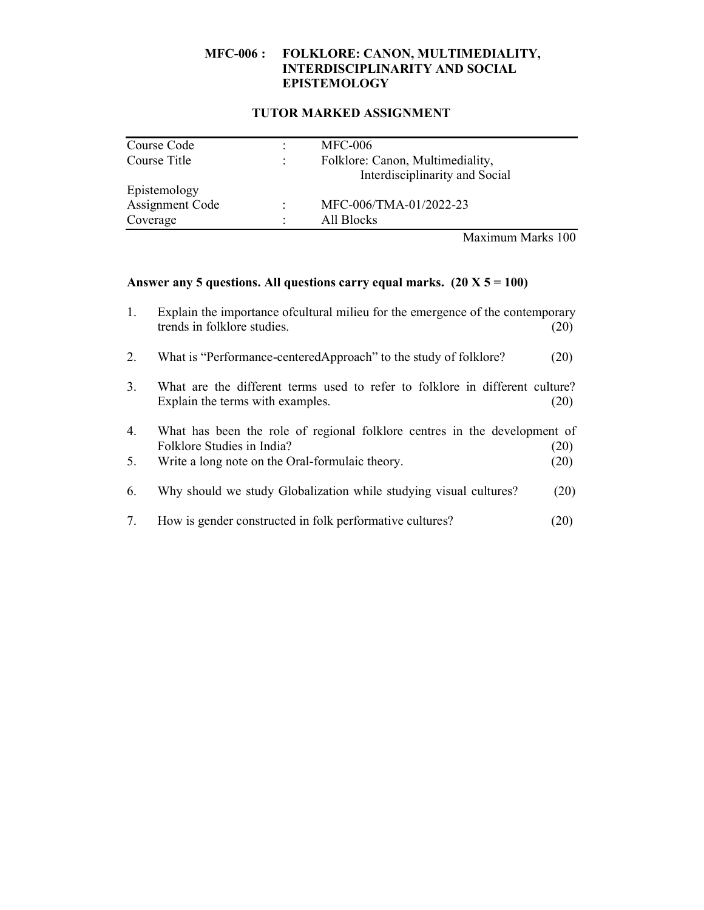#### MFC-006 : FOLKLORE: CANON, MULTIMEDIALITY, INTERDISCIPLINARITY AND SOCIAL EPISTEMOLOGY

#### TUTOR MARKED ASSIGNMENT

| Folklore: Canon, Multimediality, |
|----------------------------------|
| Interdisciplinarity and Social   |
|                                  |
| MFC-006/TMA-01/2022-23           |
|                                  |
|                                  |

Maximum Marks 100

| Explain the importance of cultural milieu for the emergence of the contemporary |      |
|---------------------------------------------------------------------------------|------|
| trends in folklore studies.                                                     | (20) |

- 2. What is "Performance-centeredApproach" to the study of folklore? (20)
- 3. What are the different terms used to refer to folklore in different culture? Explain the terms with examples. (20)
- 4. What has been the role of regional folklore centres in the development of Folklore Studies in India? (20)
- 5. Write a long note on the Oral-formulaic theory. (20)
- 6. Why should we study Globalization while studying visual cultures? (20)
- 7. How is gender constructed in folk performative cultures? (20)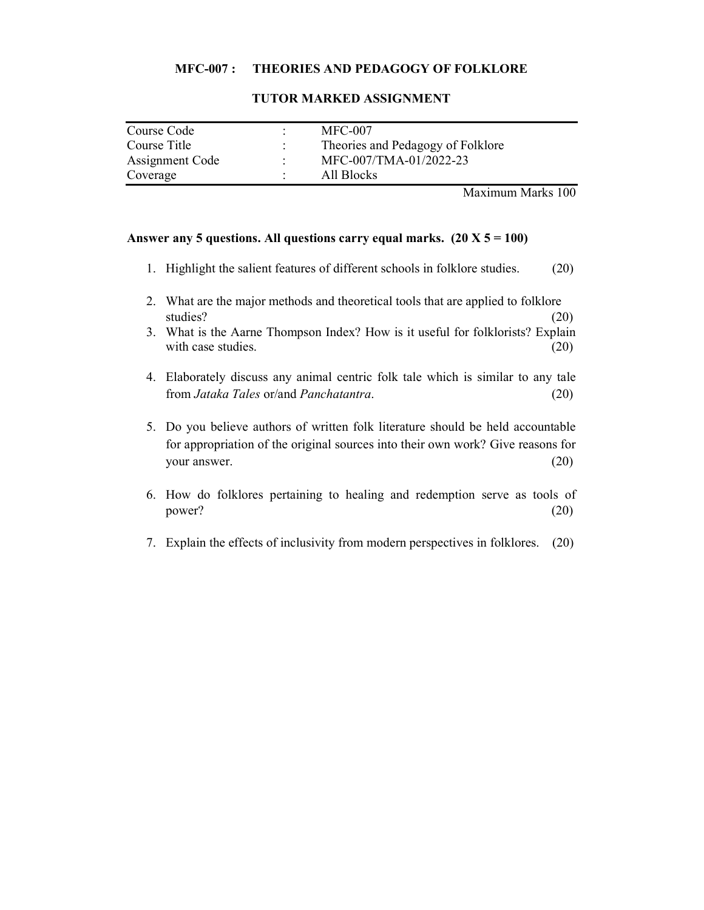#### MFC-007 : THEORIES AND PEDAGOGY OF FOLKLORE

| Course Code     |   | $MFC-007$                         |
|-----------------|---|-----------------------------------|
| Course Title    |   | Theories and Pedagogy of Folklore |
| Assignment Code | ٠ | MFC-007/TMA-01/2022-23            |
| Coverage        |   | All Blocks                        |

#### TUTOR MARKED ASSIGNMENT

Maximum Marks 100

- 1. Highlight the salient features of different schools in folklore studies. (20)
- 2. What are the major methods and theoretical tools that are applied to folklore studies? (20)
- 3. What is the Aarne Thompson Index? How is it useful for folklorists? Explain with case studies. (20)
- 4. Elaborately discuss any animal centric folk tale which is similar to any tale from Jataka Tales or/and Panchatantra. (20)
- 5. Do you believe authors of written folk literature should be held accountable for appropriation of the original sources into their own work? Give reasons for your answer. (20)
- 6. How do folklores pertaining to healing and redemption serve as tools of  $power?$  (20)
- 7. Explain the effects of inclusivity from modern perspectives in folklores. (20)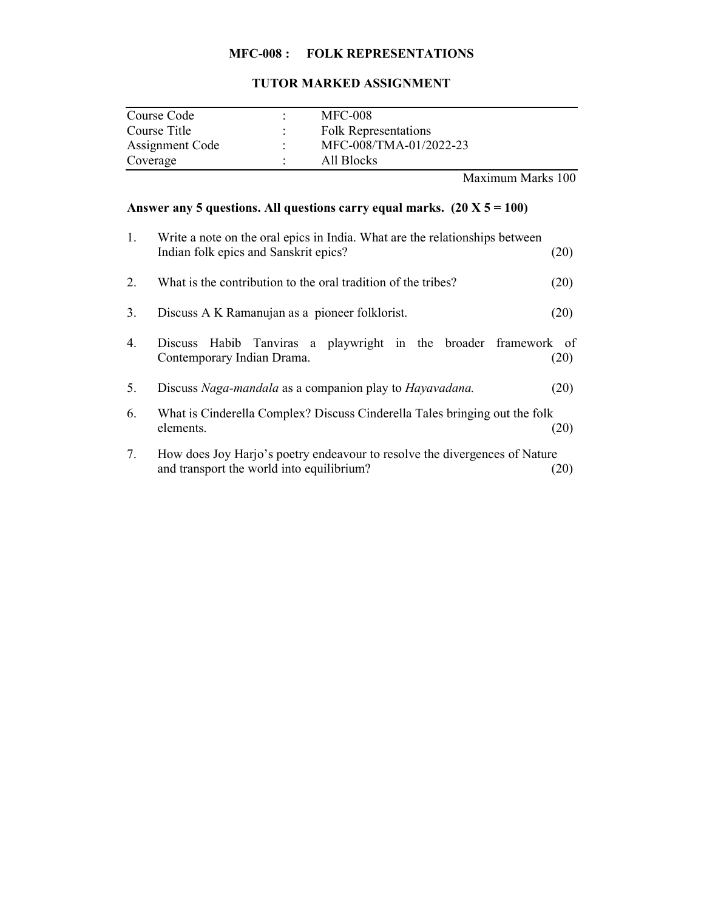# MFC-008 : FOLK REPRESENTATIONS

# TUTOR MARKED ASSIGNMENT

| Course Code     | <b>MFC-008</b>              |
|-----------------|-----------------------------|
| Course Title    | <b>Folk Representations</b> |
| Assignment Code | MFC-008/TMA-01/2022-23      |
| Coverage        | All Blocks                  |

Maximum Marks 100

| 1. | Write a note on the oral epics in India. What are the relationships between<br>Indian folk epics and Sanskrit epics?    | (20) |  |  |  |
|----|-------------------------------------------------------------------------------------------------------------------------|------|--|--|--|
| 2. | What is the contribution to the oral tradition of the tribes?                                                           |      |  |  |  |
| 3. | Discuss A K Ramanujan as a pioneer folklorist.                                                                          | (20) |  |  |  |
| 4. | Habib Tanviras a playwright in the broader framework of<br><b>Discuss</b><br>Contemporary Indian Drama.                 | (20) |  |  |  |
| 5. | Discuss Naga-mandala as a companion play to Hayavadana.                                                                 | (20) |  |  |  |
| 6. | What is Cinderella Complex? Discuss Cinderella Tales bringing out the folk<br>elements.                                 | (20) |  |  |  |
| 7. | How does Joy Harjo's poetry endeavour to resolve the divergences of Nature<br>and transport the world into equilibrium? | (20) |  |  |  |